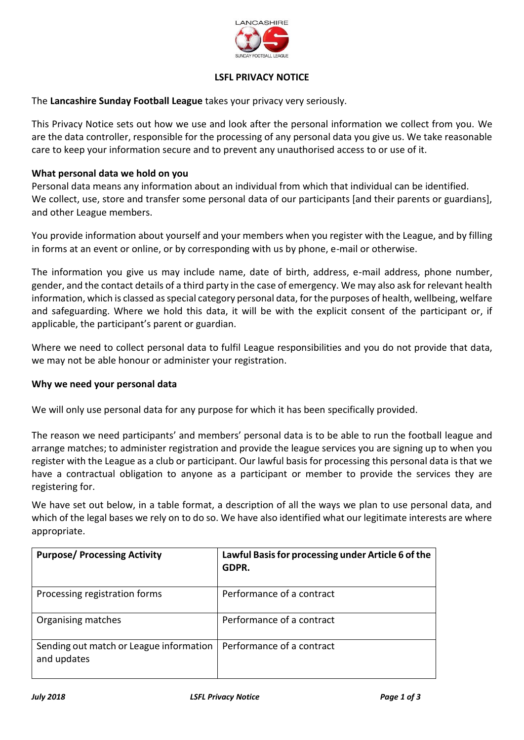

# **LSFL PRIVACY NOTICE**

The **Lancashire Sunday Football League** takes your privacy very seriously.

This Privacy Notice sets out how we use and look after the personal information we collect from you. We are the data controller, responsible for the processing of any personal data you give us. We take reasonable care to keep your information secure and to prevent any unauthorised access to or use of it.

### **What personal data we hold on you**

Personal data means any information about an individual from which that individual can be identified. We collect, use, store and transfer some personal data of our participants [and their parents or guardians], and other League members.

You provide information about yourself and your members when you register with the League, and by filling in forms at an event or online, or by corresponding with us by phone, e-mail or otherwise.

The information you give us may include name, date of birth, address, e-mail address, phone number, gender, and the contact details of a third party in the case of emergency. We may also ask for relevant health information, which is classed as special category personal data, for the purposes of health, wellbeing, welfare and safeguarding. Where we hold this data, it will be with the explicit consent of the participant or, if applicable, the participant's parent or guardian.

Where we need to collect personal data to fulfil League responsibilities and you do not provide that data, we may not be able honour or administer your registration.

#### **Why we need your personal data**

We will only use personal data for any purpose for which it has been specifically provided.

The reason we need participants' and members' personal data is to be able to run the football league and arrange matches; to administer registration and provide the league services you are signing up to when you register with the League as a club or participant. Our lawful basis for processing this personal data is that we have a contractual obligation to anyone as a participant or member to provide the services they are registering for.

We have set out below, in a table format, a description of all the ways we plan to use personal data, and which of the legal bases we rely on to do so. We have also identified what our legitimate interests are where appropriate.

| <b>Purpose/ Processing Activity</b>                    | Lawful Basis for processing under Article 6 of the<br>GDPR. |
|--------------------------------------------------------|-------------------------------------------------------------|
| Processing registration forms                          | Performance of a contract                                   |
| Organising matches                                     | Performance of a contract                                   |
| Sending out match or League information<br>and updates | Performance of a contract                                   |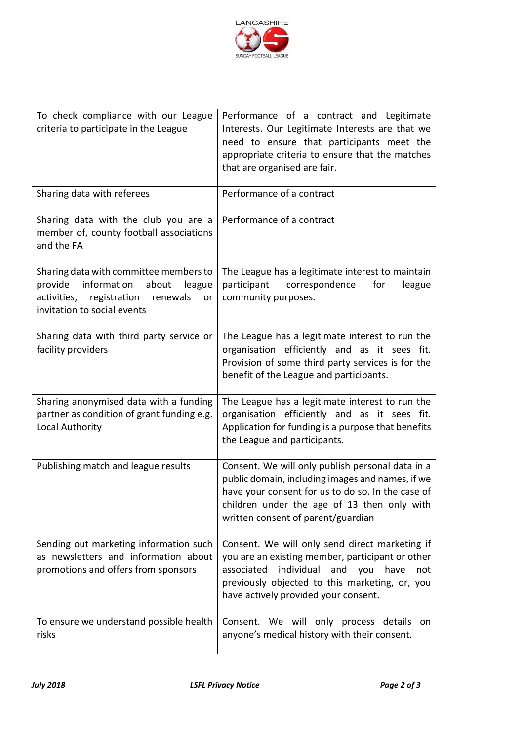

| To check compliance with our League<br>criteria to participate in the League                                                                                        | Performance of a contract and Legitimate<br>Interests. Our Legitimate Interests are that we<br>need to ensure that participants meet the<br>appropriate criteria to ensure that the matches<br>that are organised are fair.                     |
|---------------------------------------------------------------------------------------------------------------------------------------------------------------------|-------------------------------------------------------------------------------------------------------------------------------------------------------------------------------------------------------------------------------------------------|
| Sharing data with referees                                                                                                                                          | Performance of a contract                                                                                                                                                                                                                       |
| Sharing data with the club you are a<br>member of, county football associations<br>and the FA                                                                       | Performance of a contract                                                                                                                                                                                                                       |
| Sharing data with committee members to<br>information<br>about<br>provide<br>league<br>registration<br>activities,<br>renewals<br>or<br>invitation to social events | The League has a legitimate interest to maintain<br>correspondence<br>participant<br>for<br>league<br>community purposes.                                                                                                                       |
| Sharing data with third party service or<br>facility providers                                                                                                      | The League has a legitimate interest to run the<br>organisation efficiently and as it sees fit.<br>Provision of some third party services is for the<br>benefit of the League and participants.                                                 |
| Sharing anonymised data with a funding<br>partner as condition of grant funding e.g.<br>Local Authority                                                             | The League has a legitimate interest to run the<br>organisation efficiently and as it sees fit.<br>Application for funding is a purpose that benefits<br>the League and participants.                                                           |
| Publishing match and league results                                                                                                                                 | Consent. We will only publish personal data in a<br>public domain, including images and names, if we<br>have your consent for us to do so. In the case of<br>children under the age of 13 then only with<br>written consent of parent/guardian  |
| Sending out marketing information such<br>as newsletters and information about<br>promotions and offers from sponsors                                               | Consent. We will only send direct marketing if<br>you are an existing member, participant or other<br>individual<br>and you have<br>associated<br>not<br>previously objected to this marketing, or, you<br>have actively provided your consent. |
| To ensure we understand possible health<br>risks                                                                                                                    | Consent. We will only process details<br>on<br>anyone's medical history with their consent.                                                                                                                                                     |